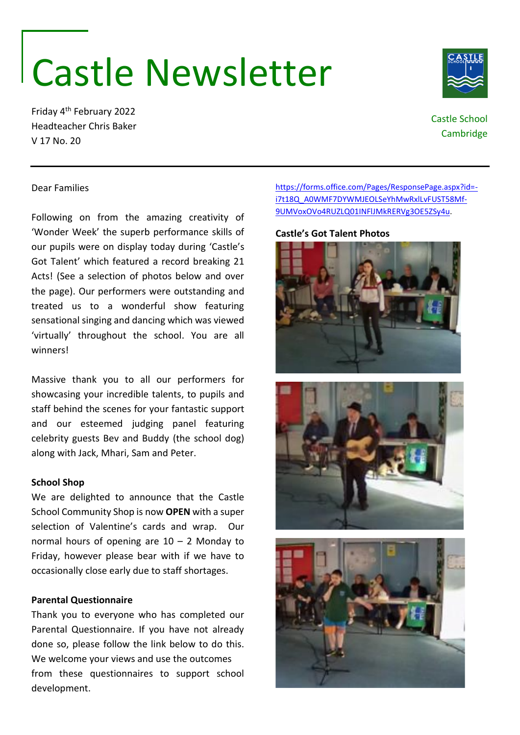## Castle Newsletter

Friday 4th February 2022 Headteacher Chris Baker V 17 No. 20

Dear Families

## [https://forms.office.com/Pages/ResponsePage.aspx?id=](https://forms.office.com/Pages/ResponsePage.aspx?id=-i7t18Q_A0WMF7DYWMJEOLSeYhMwRxlLvFUST58Mf-9UMVoxOVo4RUZLQ01INFlJMkRERVg3OE5ZSy4u) [i7t18Q\\_A0WMF7DYWMJEOLSeYhMwRxlLvFUST58Mf-](https://forms.office.com/Pages/ResponsePage.aspx?id=-i7t18Q_A0WMF7DYWMJEOLSeYhMwRxlLvFUST58Mf-9UMVoxOVo4RUZLQ01INFlJMkRERVg3OE5ZSy4u)[9UMVoxOVo4RUZLQ01INFlJMkRERVg3OE5ZSy4u.](https://forms.office.com/Pages/ResponsePage.aspx?id=-i7t18Q_A0WMF7DYWMJEOLSeYhMwRxlLvFUST58Mf-9UMVoxOVo4RUZLQ01INFlJMkRERVg3OE5ZSy4u)

Following on from the amazing creativity of 'Wonder Week' the superb performance skills of **Castle's Got Talent Photos**

our pupils were on display today during 'Castle's Got Talent' which featured a record breaking 21

Massive thank you to all our performers for showcasing your incredible talents, to pupils and staff behind the scenes for your fantastic support and our esteemed judging panel featuring celebrity guests Bev and Buddy (the school dog) along with Jack, Mhari, Sam and Peter.

'virtually' throughout the school. You are all

## **School Shop**

winners!

We are delighted to announce that the Castle School Community Shop is now **OPEN** with a super selection of Valentine's cards and wrap. Our normal hours of opening are 10 – 2 Monday to Friday, however please bear with if we have to occasionally close early due to staff shortages.

## **Parental Questionnaire**

Thank you to everyone who has completed our Parental Questionnaire. If you have not already done so, please follow the link below to do this. We welcome your views and use the outcomes from these questionnaires to support school development.

Acts! (See a selection of photos below and over the page). Our performers were outstanding and treated us to a wonderful show featuring sensational singing and dancing which was viewed











Castle School Cambridge